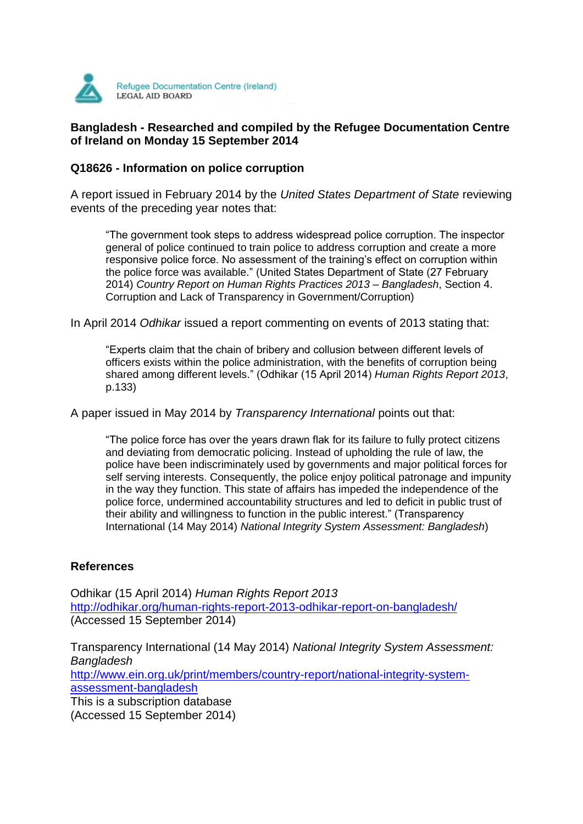

## **Bangladesh - Researched and compiled by the Refugee Documentation Centre of Ireland on Monday 15 September 2014**

## **Q18626 - Information on police corruption**

A report issued in February 2014 by the *United States Department of State* reviewing events of the preceding year notes that:

"The government took steps to address widespread police corruption. The inspector general of police continued to train police to address corruption and create a more responsive police force. No assessment of the training's effect on corruption within the police force was available." (United States Department of State (27 February 2014) *Country Report on Human Rights Practices 2013 – Bangladesh*, Section 4. Corruption and Lack of Transparency in Government/Corruption)

In April 2014 *Odhikar* issued a report commenting on events of 2013 stating that:

"Experts claim that the chain of bribery and collusion between different levels of officers exists within the police administration, with the benefits of corruption being shared among different levels." (Odhikar (15 April 2014) *Human Rights Report 2013*, p.133)

A paper issued in May 2014 by *Transparency International* points out that:

"The police force has over the years drawn flak for its failure to fully protect citizens and deviating from democratic policing. Instead of upholding the rule of law, the police have been indiscriminately used by governments and major political forces for self serving interests. Consequently, the police enjoy political patronage and impunity in the way they function. This state of affairs has impeded the independence of the police force, undermined accountability structures and led to deficit in public trust of their ability and willingness to function in the public interest." (Transparency International (14 May 2014) *National Integrity System Assessment: Bangladesh*)

## **References**

Odhikar (15 April 2014) *Human Rights Report 2013* <http://odhikar.org/human-rights-report-2013-odhikar-report-on-bangladesh/> (Accessed 15 September 2014)

Transparency International (14 May 2014) *National Integrity System Assessment: Bangladesh* [http://www.ein.org.uk/print/members/country-report/national-integrity-system](http://www.ein.org.uk/print/members/country-report/national-integrity-system-assessment-bangladesh)[assessment-bangladesh](http://www.ein.org.uk/print/members/country-report/national-integrity-system-assessment-bangladesh) This is a subscription database

(Accessed 15 September 2014)